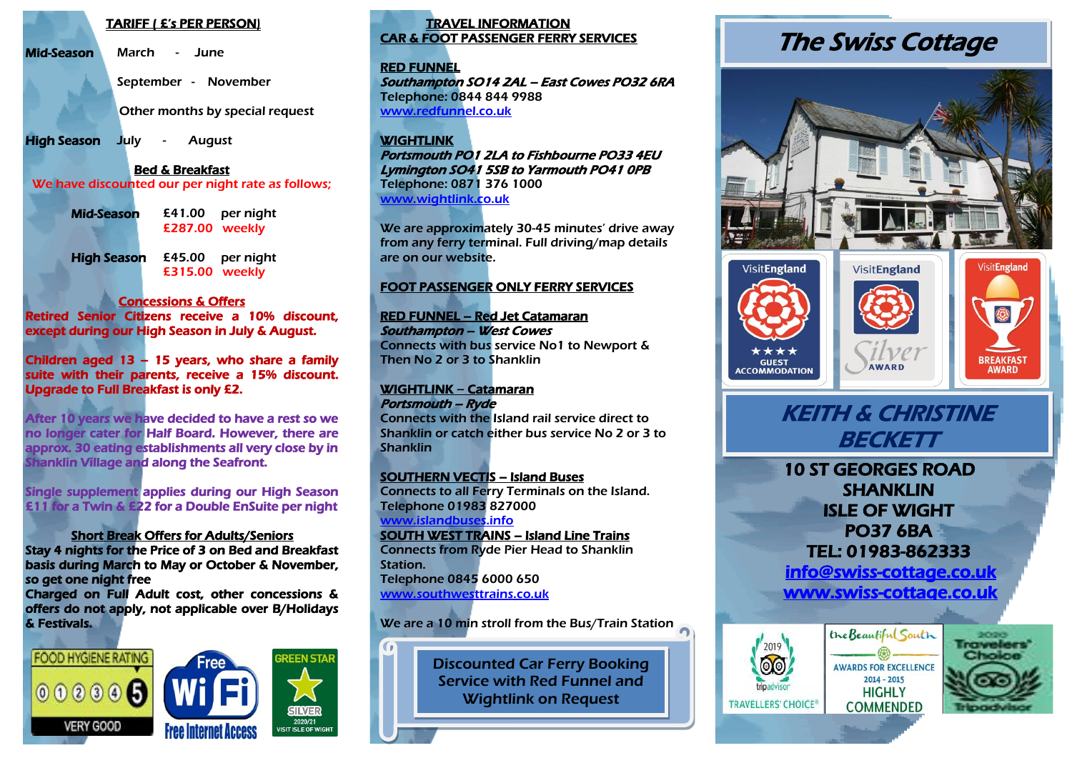#### TARIFF ( £'s PER PERSON)

Mid-Season March - June

September - November

Other months by special request

High Season July - August

Bed & Breakfast

We have discounted our per night rate as follows;

| Mid-Season         | £287.00 weekly | $£41.00$ per night |  |
|--------------------|----------------|--------------------|--|
| <b>High Season</b> | £45.00         | per night          |  |

£315.00 weekly

## Concessions & Offers

Retired Senior Citizens receive a 10% discount, except during our High Season in July & August.

Children aged 13 – 15 years, who share a family suite with their parents, receive a 15% discount. Upgrade to Full Breakfast is only £2.

After 10 years we have decided to have a rest so we no longer cater for Half Board. However, there are approx. 30 eating establishments all very close by in hanklin Village and along the Seafront.

Single supplement applies during our High Season £11 for a Twin & £22 for a Double EnSuite per night

## Short Break Offers for Adults/Seniors

Stay 4 nights for the Price of 3 on Bed and Breakfast basis during March to May or October & November, so get one night free

Charged on Full Adult cost, other concessions & offers do not apply, not applicable over B/Holidays & Festivals.



## TRAVEL INFORMATION CAR & FOOT PASSENGER FERRY SERVICES

#### RED FUNNEL

Southampton SO14 2AL – East Cowes PO32 6RA Telephone: 0844 844 9988 [www.redfunnel.co.uk](http://www.redfunnel.co.uk/)

### **WIGHTLINK**

Portsmouth PO1 2LA to Fishbourne PO33 4EU Lymington SO41 5SB to Yarmouth PO41 0PB Telephone: 0871 376 1000 [www.wightlink.co.uk](http://www.wightlink.co.uk/)

We are approximately 30-45 minutes' drive away from any ferry terminal. Full driving/map details are on our website.

## FOOT PASSENGER ONLY FERRY SERVICES

## RED FUNNEL – Red Jet Catamaran Southampton – West Cowes

Connects with bus service No1 to Newport & Then No 2 or 3 to Shanklin

#### WIGHTLINK – Catamaran Portsmouth – Ryde

Connects with the Island rail service direct to Shanklin or catch either bus service No 2 or 3 to Shanklin

## SOUTHERN VECTIS – Island Buses

Connects to all Ferry Terminals on the Island. Telephone 01983 827000 [www.islandbuses.info](http://www.islandbuses.info/)

#### SOUTH WEST TRAINS – Island Line Trains Connects from Ryde Pier Head to Shanklin Station.

Telephone 0845 6000 650 [www.southwesttrains.co.uk](http://www.southwesttrains.co.uk/)

## We are a 10 min stroll from the Bus/Train Station

Discounted Car Ferry Booking Service with Red Funnel and Wightlink on Request

# The Swiss Cottage



## KEITH & CHRISTINE BECKETT

10 ST GEORGES ROAD SHANKLIN ISLE OF WIGHT PO37 6BA TEL: 01983-862333  [info@swiss-cottage.co.uk](mailto:info@swiss-cottage.co.uk) 

[www.swiss-cottage.co.uk](http://www.swiss-cottage.co.uk/)